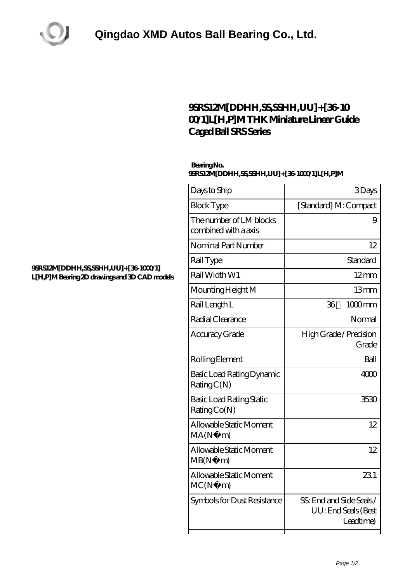

## **[9SRS12M\[DDHH,SS,SSHH,UU\]+\[36-10](https://m.laesa-shpe.net/thk-linear-motion/9srs12m-ddhh-ss-sshh-uu-36-1000-1-l-h-p-m.html) [00/1\]L\[H,P\]M THK Miniature Linear Guide](https://m.laesa-shpe.net/thk-linear-motion/9srs12m-ddhh-ss-sshh-uu-36-1000-1-l-h-p-m.html) [Caged Ball SRS Series](https://m.laesa-shpe.net/thk-linear-motion/9srs12m-ddhh-ss-sshh-uu-36-1000-1-l-h-p-m.html)**

## **Bearing No. 9SRS12M[DDHH,SS,SSHH,UU]+[36-1000/1]L[H,P]M**

| Days to Ship                                    | 3Days                                                       |
|-------------------------------------------------|-------------------------------------------------------------|
| <b>Block Type</b>                               | [Standard] M: Compact                                       |
| The number of LM blocks<br>combined with a axis | 9                                                           |
| Nominal Part Number                             | 12                                                          |
| Rail Type                                       | Standard                                                    |
| Rail Width W1                                   | $12 \text{mm}$                                              |
| Mounting Height M                               | 13mm                                                        |
| Rail Length L                                   | 36<br>$1000$ mm                                             |
| Radial Clearance                                | Normal                                                      |
| Accuracy Grade                                  | High Grade / Precision<br>Grade                             |
| Rolling Element                                 | Ball                                                        |
| Basic Load Rating Dynamic<br>RatingC(N)         | 4000                                                        |
| <b>Basic Load Rating Static</b><br>Rating Co(N) | 3530                                                        |
| Allowable Static Moment<br>MA(N)<br>m)          | 12                                                          |
| Allowable Static Moment<br>MB(N)<br>m)          | 12                                                          |
| Allowable Static Moment<br>MC(N)<br>m)          | 231                                                         |
| Symbols for Dust Resistance                     | SS: End and Side Seals/<br>UU: End Seals (Best<br>Leadtime) |

## **[9SRS12M\[DDHH,SS,SSHH,UU\]+\[36-1000/1\]](https://m.laesa-shpe.net/pic-723652.html) [L\[H,P\]M Bearing 2D drawings and 3D CAD models](https://m.laesa-shpe.net/pic-723652.html)**